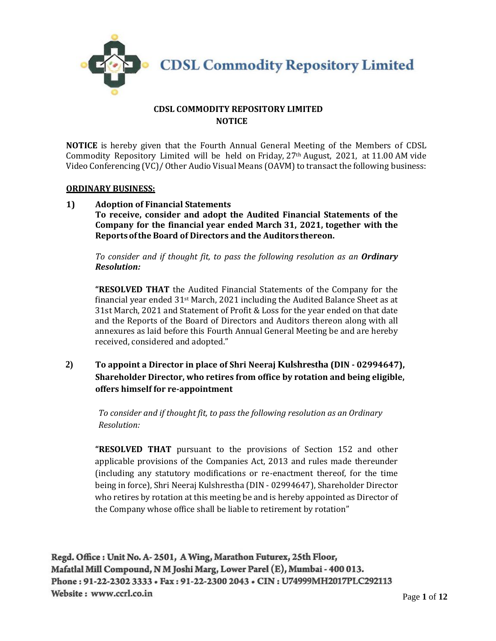

## **CDSL COMMODITY REPOSITORY LIMITED NOTICE**

**NOTICE** is hereby given that the Fourth Annual General Meeting of the Members of CDSL Commodity Repository Limited will be held on Friday, 27th August, 2021, at 11.00 AM vide Video Conferencing (VC)/ Other Audio Visual Means (OAVM) to transact the following business:

### **ORDINARY BUSINESS:**

**1) Adoption of Financial Statements To receive, consider and adopt the Audited Financial Statements of the Company for the financial year ended March 31, 2021, together with the Reportsofthe Board of Directors and the Auditorsthereon.**

*To consider and if thought fit, to pass the following resolution as an Ordinary Resolution:*

**"RESOLVED THAT** the Audited Financial Statements of the Company for the financial year ended  $31$ <sup>st</sup> March, 2021 including the Audited Balance Sheet as at 31st March, 2021 and Statement of Profit & Loss for the year ended on that date and the Reports of the Board of Directors and Auditors thereon along with all annexures as laid before this Fourth Annual General Meeting be and are hereby received, considered and adopted."

**2) To appoint a Director in place of Shri Neeraj Kulshrestha (DIN - [02994647\)](http://www.mca.gov.in/mcafoportal/companyLLPMasterData.do), Shareholder Director, who retires from office by rotation and being eligible, offers himself for re-appointment** 

*To consider and if thought fit, to pass the following resolution as an Ordinary Resolution:*

**"RESOLVED THAT** pursuant to the provisions of Section 152 and other applicable provisions of the Companies Act, 2013 and rules made thereunder (including any statutory modifications or re-enactment thereof, for the time being in force), Shri Neeraj Kulshrestha (DIN - [02994647\)](http://www.mca.gov.in/mcafoportal/companyLLPMasterData.do), Shareholder Director who retires by rotation at this meeting be and is hereby appointed as Director of the Company whose office shall be liable to retirement by rotation"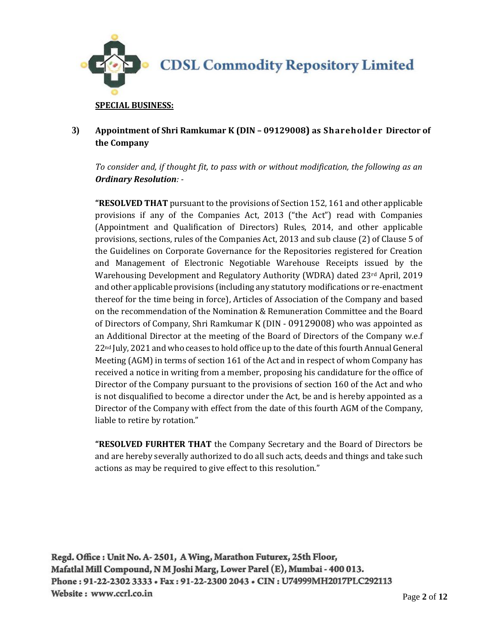

# **3) Appointment of Shri Ramkumar K (DIN – 09129008) as Shareholder Director of the Company**

*To consider and, if thought fit, to pass with or without modification, the following as an Ordinary Resolution: -*

**"RESOLVED THAT** pursuant to the provisions of Section 152, 161 and other applicable provisions if any of the Companies Act, 2013 ("the Act") read with Companies (Appointment and Qualification of Directors) Rules, 2014, and other applicable provisions, sections, rules of the Companies Act, 2013 and sub clause (2) of Clause 5 of the Guidelines on Corporate Governance for the Repositories registered for Creation and Management of Electronic Negotiable Warehouse Receipts issued by the Warehousing Development and Regulatory Authority (WDRA) dated 23<sup>rd</sup> April, 2019 and other applicable provisions (including any statutory modifications or re-enactment thereof for the time being in force), Articles of Association of the Company and based on the recommendation of the Nomination & Remuneration Committee and the Board of Directors of Company, Shri Ramkumar K (DIN - 09129008) who was appointed as an Additional Director at the meeting of the Board of Directors of the Company w.e.f 22nd July, 2021 and who ceases to hold office up to the date of this fourth Annual General Meeting (AGM) in terms of section 161 of the Act and in respect of whom Company has received a notice in writing from a member, proposing his candidature for the office of Director of the Company pursuant to the provisions of section 160 of the Act and who is not disqualified to become a director under the Act, be and is hereby appointed as a Director of the Company with effect from the date of this fourth AGM of the Company, liable to retire by rotation."

**"RESOLVED FURHTER THAT** the Company Secretary and the Board of Directors be and are hereby severally authorized to do all such acts, deeds and things and take such actions as may be required to give effect to this resolution."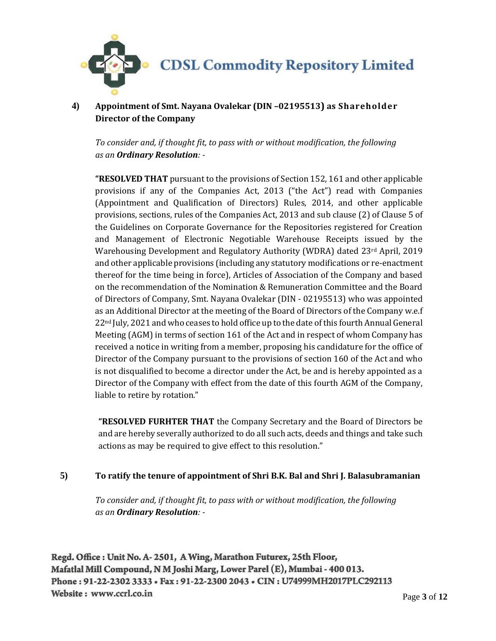

**4) Appointment of Smt. Nayana Ovalekar (DIN –02195513) as Shareholder Director of the Company** 

*To consider and, if thought fit, to pass with or without modification, the following as an Ordinary Resolution: -*

**"RESOLVED THAT** pursuant to the provisions of Section 152, 161 and other applicable provisions if any of the Companies Act, 2013 ("the Act") read with Companies (Appointment and Qualification of Directors) Rules, 2014, and other applicable provisions, sections, rules of the Companies Act, 2013 and sub clause (2) of Clause 5 of the Guidelines on Corporate Governance for the Repositories registered for Creation and Management of Electronic Negotiable Warehouse Receipts issued by the Warehousing Development and Regulatory Authority (WDRA) dated 23<sup>rd</sup> April, 2019 and other applicable provisions (including any statutory modifications or re-enactment thereof for the time being in force), Articles of Association of the Company and based on the recommendation of the Nomination & Remuneration Committee and the Board of Directors of Company, Smt. Nayana Ovalekar (DIN - 02195513) who was appointed as an Additional Director at the meeting of the Board of Directors of the Company w.e.f 22nd July, 2021 and who ceases to hold office up to the date of this fourth Annual General Meeting (AGM) in terms of section 161 of the Act and in respect of whom Company has received a notice in writing from a member, proposing his candidature for the office of Director of the Company pursuant to the provisions of section 160 of the Act and who is not disqualified to become a director under the Act, be and is hereby appointed as a Director of the Company with effect from the date of this fourth AGM of the Company, liable to retire by rotation."

**"RESOLVED FURHTER THAT** the Company Secretary and the Board of Directors be and are hereby severally authorized to do all such acts, deeds and things and take such actions as may be required to give effect to this resolution."

## **5) To ratify the tenure of appointment of Shri B.K. Bal and Shri J. Balasubramanian**

*To consider and, if thought fit, to pass with or without modification, the following as an Ordinary Resolution: -*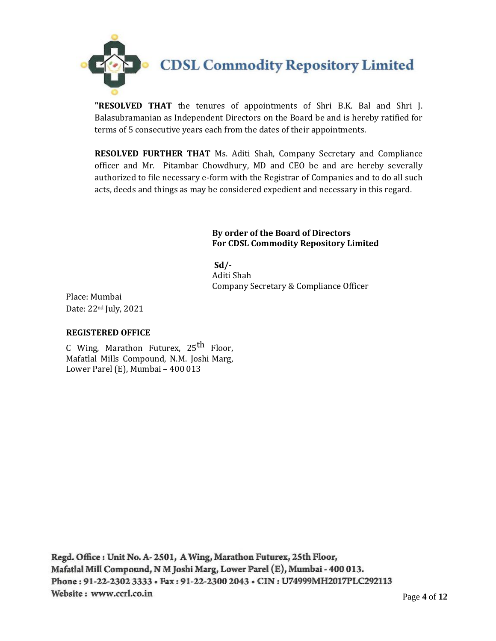**CDSL Commodity Repository Limited** 

**"RESOLVED THAT** the tenures of appointments of Shri B.K. Bal and Shri J. Balasubramanian as Independent Directors on the Board be and is hereby ratified for terms of 5 consecutive years each from the dates of their appointments.

**RESOLVED FURTHER THAT** Ms. Aditi Shah, Company Secretary and Compliance officer and Mr. Pitambar Chowdhury, MD and CEO be and are hereby severally authorized to file necessary e-form with the Registrar of Companies and to do all such acts, deeds and things as may be considered expedient and necessary in this regard.

> **By order of the Board of Directors For CDSL Commodity Repository Limited**

 **Sd/-** Aditi Shah Company Secretary & Compliance Officer

Place: Mumbai Date: 22nd July, 2021

### **REGISTERED OFFICE**

C Wing, Marathon Futurex, 25<sup>th</sup> Floor, Mafatlal Mills Compound, N.M. Joshi Marg, Lower Parel (E), Mumbai – 400 013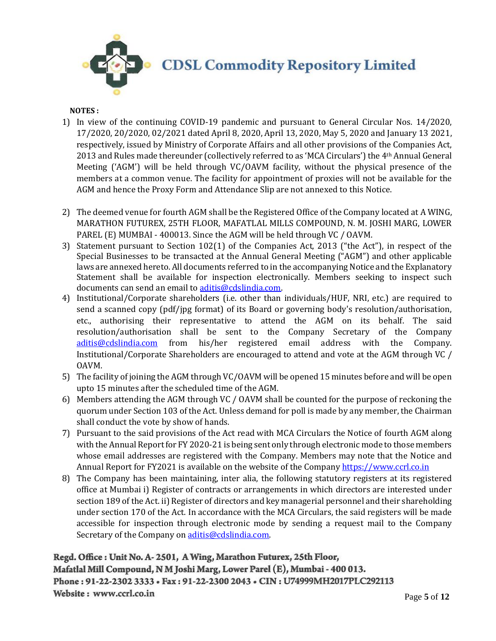

## **NOTES :**

- 1) In view of the continuing COVID-19 pandemic and pursuant to General Circular Nos. 14/2020, 17/2020, 20/2020, 02/2021 dated April 8, 2020, April 13, 2020, May 5, 2020 and January 13 2021, respectively, issued by Ministry of Corporate Affairs and all other provisions of the Companies Act, 2013 and Rules made thereunder (collectively referred to as 'MCA Circulars') the 4th Annual General Meeting ('AGM') will be held through VC/OAVM facility, without the physical presence of the members at a common venue. The facility for appointment of proxies will not be available for the AGM and hence the Proxy Form and Attendance Slip are not annexed to this Notice.
- 2) The deemed venue for fourth AGM shall be the Registered Office of the Company located at A WING, MARATHON FUTUREX, 25TH FLOOR, MAFATLAL MILLS COMPOUND, N. M. JOSHI MARG, LOWER PAREL (E) MUMBAI - 400013. Since the AGM will be held through VC / OAVM.
- 3) Statement pursuant to Section 102(1) of the Companies Act, 2013 ("the Act"), in respect of the Special Businesses to be transacted at the Annual General Meeting ("AGM") and other applicable laws are annexed hereto. All documents referred to in the accompanying Notice and the Explanatory Statement shall be available for inspection electronically. Members seeking to inspect such documents can send an email t[o aditis@cdslindia.com.](mailto:aditis@cdslindia.com)
- 4) Institutional/Corporate shareholders (i.e. other than individuals/HUF, NRI, etc.) are required to send a scanned copy (pdf/jpg format) of its Board or governing body's resolution/authorisation, etc., authorising their representative to attend the AGM on its behalf. The said resolution/authorisation shall be sent to the Company Secretary of the Company [aditis@cdslindia.com](mailto:aditis@cdslindia.com) from his/her registered email address with the Company. Institutional/Corporate Shareholders are encouraged to attend and vote at the AGM through VC / OAVM.
- 5) The facility of joining the AGM through VC/OAVM will be opened 15 minutes before and will be open upto 15 minutes after the scheduled time of the AGM.
- 6) Members attending the AGM through VC / OAVM shall be counted for the purpose of reckoning the quorum under Section 103 of the Act. Unless demand for poll is made by any member, the Chairman shall conduct the vote by show of hands.
- 7) Pursuant to the said provisions of the Act read with MCA Circulars the Notice of fourth AGM along with the Annual Report for FY 2020-21 is being sent only through electronic mode to those members whose email addresses are registered with the Company. Members may note that the Notice and Annual Report for FY2021 is available on the website of the Compan[y https://www.ccrl.co.in](https://www.ccrl.co.in/)
- 8) The Company has been maintaining, inter alia, the following statutory registers at its registered office at Mumbai i) Register of contracts or arrangements in which directors are interested under section 189 of the Act. ii) Register of directors and key managerial personnel and their shareholding under section 170 of the Act. In accordance with the MCA Circulars, the said registers will be made accessible for inspection through electronic mode by sending a request mail to the Company Secretary of the Company on aditis@cdslindia.com.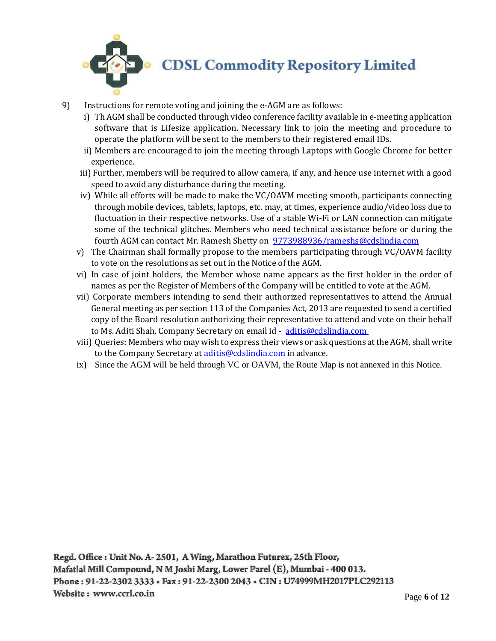

- 9) Instructions for remote voting and joining the e-AGM are as follows:
	- i) Th AGM shall be conducted through video conference facility available in e-meeting application software that is Lifesize application. Necessary link to join the meeting and procedure to operate the platform will be sent to the members to their registered email IDs.
	- ii) Members are encouraged to join the meeting through Laptops with Google Chrome for better experience.
	- iii) Further, members will be required to allow camera, if any, and hence use internet with a good speed to avoid any disturbance during the meeting.
	- iv) While all efforts will be made to make the VC/OAVM meeting smooth, participants connecting through mobile devices, tablets, laptops, etc. may, at times, experience audio/video loss due to fluctuation in their respective networks. Use of a stable Wi-Fi or LAN connection can mitigate some of the technical glitches. Members who need technical assistance before or during the fourth AGM can contact Mr. Ramesh Shetty on [9773988936/rameshs@cdslindia.com](mailto:9773988936/rameshs@cdslindia.com)
	- v) The Chairman shall formally propose to the members participating through VC/OAVM facility to vote on the resolutions as set out in the Notice of the AGM.
	- vi) In case of joint holders, the Member whose name appears as the first holder in the order of names as per the Register of Members of the Company will be entitled to vote at the AGM.
	- vii) Corporate members intending to send their authorized representatives to attend the Annual General meeting as per section 113 of the Companies Act, 2013 are requested to send a certified copy of the Board resolution authorizing their representative to attend and vote on their behalf to Ms. Aditi Shah, Company Secretary on email id - [aditis@cdslindia.com](mailto:aditis@cdslindia.com)
	- viii) Queries: Members who may wish to express their views or ask questions at the AGM, shall write to the Company Secretary at *aditis@cdslindia.com* in advance.
	- ix) Since the AGM will be held through VC or OAVM, the Route Map is not annexed in this Notice.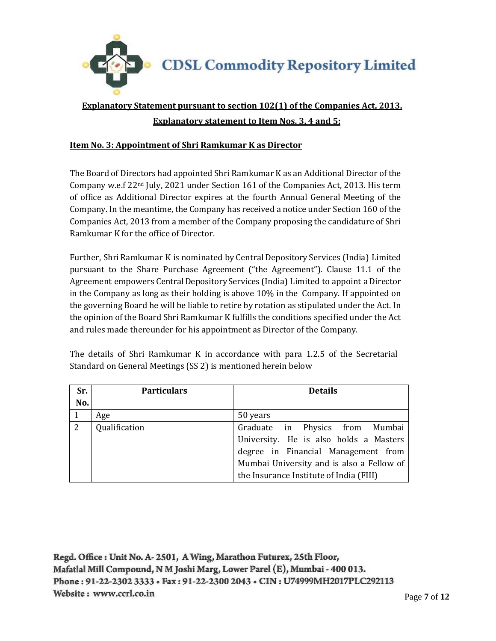

# **Explanatory Statement pursuant to section 102(1) of the Companies Act, 2013, Explanatory statement to Item Nos. 3, 4 and 5:**

## **Item No. 3: Appointment of Shri Ramkumar K as Director**

The Board of Directors had appointed Shri Ramkumar K as an Additional Director of the Company w.e.f  $22<sup>nd</sup>$  July, 2021 under Section 161 of the Companies Act, 2013. His term of office as Additional Director expires at the fourth Annual General Meeting of the Company. In the meantime, the Company has received a notice under Section 160 of the Companies Act, 2013 from a member of the Company proposing the candidature of Shri Ramkumar K for the office of Director.

Further, Shri Ramkumar K is nominated by Central Depository Services (India) Limited pursuant to the Share Purchase Agreement ("the Agreement"). Clause 11.1 of the Agreement empowers Central Depository Services (India) Limited to appoint a Director in the Company as long as their holding is above 10% in the Company. If appointed on the governing Board he will be liable to retire by rotation as stipulated under the Act. In the opinion of the Board Shri Ramkumar K fulfills the conditions specified under the Act and rules made thereunder for his appointment as Director of the Company.

The details of Shri Ramkumar K in accordance with para 1.2.5 of the Secretarial Standard on General Meetings (SS 2) is mentioned herein below

| Sr. | <b>Particulars</b> | <b>Details</b>                            |
|-----|--------------------|-------------------------------------------|
| No. |                    |                                           |
|     | Age                | 50 years                                  |
| 2   | Qualification      | Graduate in Physics from Mumbai           |
|     |                    | University. He is also holds a Masters    |
|     |                    | degree in Financial Management from       |
|     |                    | Mumbai University and is also a Fellow of |
|     |                    | the Insurance Institute of India (FIII)   |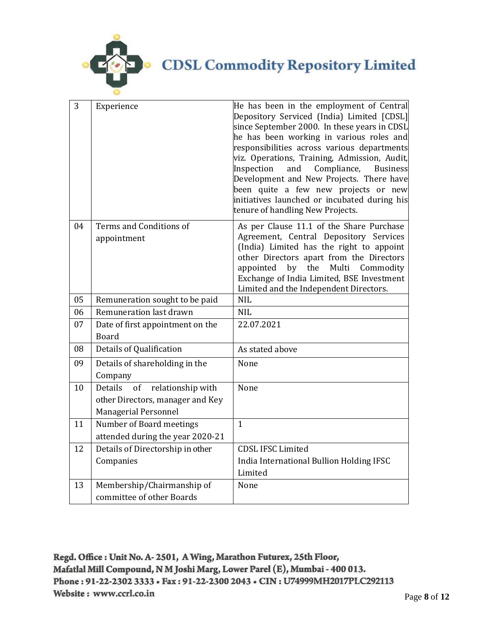

**CDSL Commodity Repository Limited** 

| 3  | Experience                                                                                      | He has been in the employment of Central<br>Depository Serviced (India) Limited [CDSL]<br>since September 2000. In these years in CDSL<br>he has been working in various roles and<br>responsibilities across various departments<br>viz. Operations, Training, Admission, Audit,<br>and<br>Compliance,<br>Inspection<br><b>Business</b> |
|----|-------------------------------------------------------------------------------------------------|------------------------------------------------------------------------------------------------------------------------------------------------------------------------------------------------------------------------------------------------------------------------------------------------------------------------------------------|
|    |                                                                                                 | Development and New Projects. There have<br>been quite a few new projects or new<br>initiatives launched or incubated during his<br>tenure of handling New Projects.                                                                                                                                                                     |
| 04 | Terms and Conditions of<br>appointment                                                          | As per Clause 11.1 of the Share Purchase<br>Agreement, Central Depository Services<br>(India) Limited has the right to appoint<br>other Directors apart from the Directors<br>by<br>the<br>Multi<br>appointed<br>Commodity<br>Exchange of India Limited, BSE Investment<br>Limited and the Independent Directors.                        |
| 05 | Remuneration sought to be paid                                                                  | <b>NIL</b>                                                                                                                                                                                                                                                                                                                               |
| 06 | Remuneration last drawn                                                                         | <b>NIL</b>                                                                                                                                                                                                                                                                                                                               |
| 07 | Date of first appointment on the<br><b>Board</b>                                                | 22.07.2021                                                                                                                                                                                                                                                                                                                               |
| 08 | Details of Qualification                                                                        | As stated above                                                                                                                                                                                                                                                                                                                          |
| 09 | Details of shareholding in the<br>Company                                                       | None                                                                                                                                                                                                                                                                                                                                     |
| 10 | Details of relationship with<br>other Directors, manager and Key<br><b>Managerial Personnel</b> | None                                                                                                                                                                                                                                                                                                                                     |
| 11 | Number of Board meetings<br>attended during the year 2020-21                                    | $\mathbf{1}$                                                                                                                                                                                                                                                                                                                             |
| 12 | Details of Directorship in other                                                                | <b>CDSL IFSC Limited</b>                                                                                                                                                                                                                                                                                                                 |
|    | Companies                                                                                       | India International Bullion Holding IFSC<br>Limited                                                                                                                                                                                                                                                                                      |
| 13 | Membership/Chairmanship of                                                                      | None                                                                                                                                                                                                                                                                                                                                     |
|    | committee of other Boards                                                                       |                                                                                                                                                                                                                                                                                                                                          |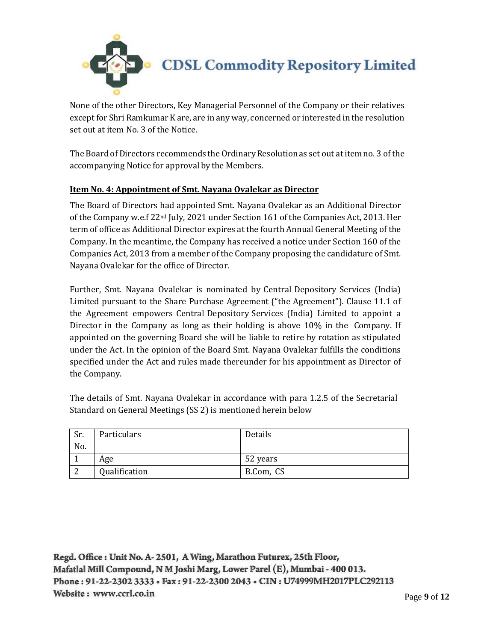

None of the other Directors, Key Managerial Personnel of the Company or their relatives except for Shri Ramkumar K are, are in any way, concerned or interested in the resolution set out at item No. 3 of the Notice.

The Board of Directors recommends the OrdinaryResolutionas set out at itemno. 3 of the accompanying Notice for approval by the Members.

# **Item No. 4: Appointment of Smt. Nayana Ovalekar as Director**

The Board of Directors had appointed Smt. Nayana Ovalekar as an Additional Director of the Company w.e.f 22nd July, 2021 under Section 161 of the Companies Act, 2013. Her term of office as Additional Director expires at the fourth Annual General Meeting of the Company. In the meantime, the Company has received a notice under Section 160 of the Companies Act, 2013 from a member of the Company proposing the candidature of Smt. Nayana Ovalekar for the office of Director.

Further, Smt. Nayana Ovalekar is nominated by Central Depository Services (India) Limited pursuant to the Share Purchase Agreement ("the Agreement"). Clause 11.1 of the Agreement empowers Central Depository Services (India) Limited to appoint a Director in the Company as long as their holding is above 10% in the Company. If appointed on the governing Board she will be liable to retire by rotation as stipulated under the Act. In the opinion of the Board Smt. Nayana Ovalekar fulfills the conditions specified under the Act and rules made thereunder for his appointment as Director of the Company.

The details of Smt. Nayana Ovalekar in accordance with para 1.2.5 of the Secretarial Standard on General Meetings (SS 2) is mentioned herein below

| Sr. | Particulars   | Details   |
|-----|---------------|-----------|
| No. |               |           |
|     | Age           | 52 years  |
| ົາ  | Qualification | B.Com, CS |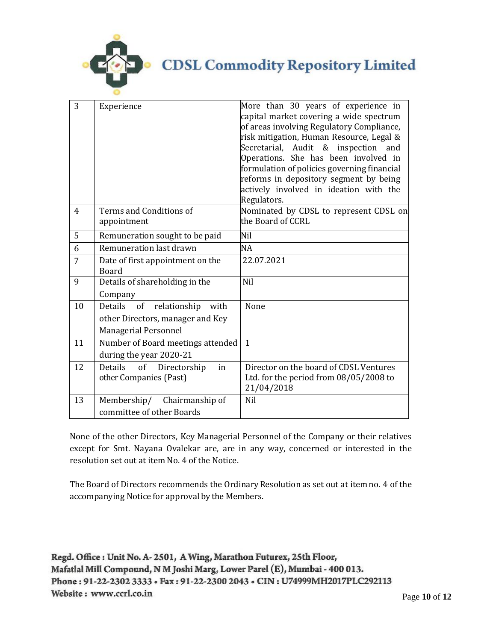

# **CDSL Commodity Repository Limited**

| 3  | Experience                                                                                     | More than 30 years of experience in<br>capital market covering a wide spectrum<br>of areas involving Regulatory Compliance,<br>risk mitigation, Human Resource, Legal &<br>Secretarial, Audit & inspection and<br>Operations. She has been involved in<br>formulation of policies governing financial<br>reforms in depository segment by being<br>actively involved in ideation with the<br>Regulators. |
|----|------------------------------------------------------------------------------------------------|----------------------------------------------------------------------------------------------------------------------------------------------------------------------------------------------------------------------------------------------------------------------------------------------------------------------------------------------------------------------------------------------------------|
| 4  | Terms and Conditions of<br>appointment                                                         | Nominated by CDSL to represent CDSL on<br>the Board of CCRL                                                                                                                                                                                                                                                                                                                                              |
| 5  | Remuneration sought to be paid                                                                 | Nil                                                                                                                                                                                                                                                                                                                                                                                                      |
| 6  | Remuneration last drawn                                                                        | <b>NA</b>                                                                                                                                                                                                                                                                                                                                                                                                |
| 7  | Date of first appointment on the<br><b>Board</b>                                               | 22.07.2021                                                                                                                                                                                                                                                                                                                                                                                               |
| 9  | Details of shareholding in the<br>Company                                                      | Nil                                                                                                                                                                                                                                                                                                                                                                                                      |
| 10 | Details<br>of relationship<br>with<br>other Directors, manager and Key<br>Managerial Personnel | None                                                                                                                                                                                                                                                                                                                                                                                                     |
| 11 | Number of Board meetings attended<br>during the year 2020-21                                   | $\mathbf{1}$                                                                                                                                                                                                                                                                                                                                                                                             |
| 12 | Details<br>of<br>Directorship<br>in<br>other Companies (Past)                                  | Director on the board of CDSL Ventures<br>Ltd. for the period from $08/05/2008$ to<br>21/04/2018                                                                                                                                                                                                                                                                                                         |
| 13 | Membership/ Chairmanship of<br>committee of other Boards                                       | <b>Nil</b>                                                                                                                                                                                                                                                                                                                                                                                               |

None of the other Directors, Key Managerial Personnel of the Company or their relatives except for Smt. Nayana Ovalekar are, are in any way, concerned or interested in the resolution set out at item No. 4 of the Notice.

The Board of Directors recommends the Ordinary Resolution as set out at item no. 4 of the accompanying Notice for approval by the Members.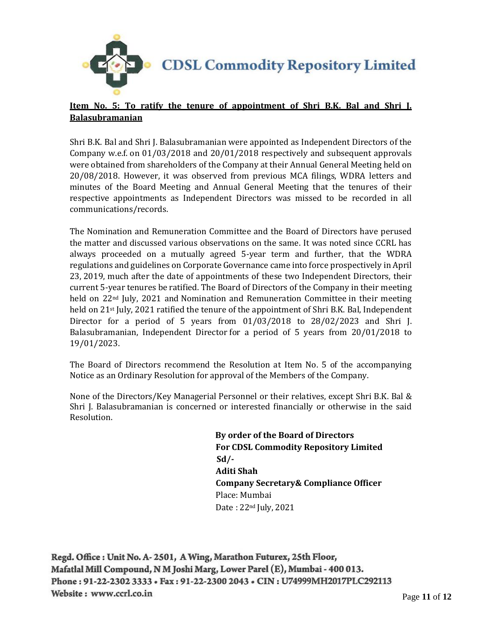

# **Item No. 5: To ratify the tenure of appointment of Shri B.K. Bal and Shri J. Balasubramanian**

Shri B.K. Bal and Shri J. Balasubramanian were appointed as Independent Directors of the Company w.e.f. on 01/03/2018 and 20/01/2018 respectively and subsequent approvals were obtained from shareholders of the Company at their Annual General Meeting held on 20/08/2018. However, it was observed from previous MCA filings, WDRA letters and minutes of the Board Meeting and Annual General Meeting that the tenures of their respective appointments as Independent Directors was missed to be recorded in all communications/records.

The Nomination and Remuneration Committee and the Board of Directors have perused the matter and discussed various observations on the same. It was noted since CCRL has always proceeded on a mutually agreed 5-year term and further, that the WDRA regulations and guidelines on Corporate Governance came into force prospectively in April 23, 2019, much after the date of appointments of these two Independent Directors, their current 5-year tenures be ratified. The Board of Directors of the Company in their meeting held on 22nd July, 2021 and Nomination and Remuneration Committee in their meeting held on 21<sup>st</sup> July, 2021 ratified the tenure of the appointment of Shri B.K. Bal, Independent Director for a period of 5 years from  $01/03/2018$  to  $28/02/2023$  and Shri J. Balasubramanian, Independent Director for a period of 5 years from 20/01/2018 to 19/01/2023.

The Board of Directors recommend the Resolution at Item No. 5 of the accompanying Notice as an Ordinary Resolution for approval of the Members of the Company.

None of the Directors/Key Managerial Personnel or their relatives, except Shri B.K. Bal & Shri J. Balasubramanian is concerned or interested financially or otherwise in the said Resolution.

> **By order of the Board of Directors For CDSL Commodity Repository Limited Sd/- Aditi Shah Company Secretary& Compliance Officer** Place: Mumbai Date : 22nd July, 2021